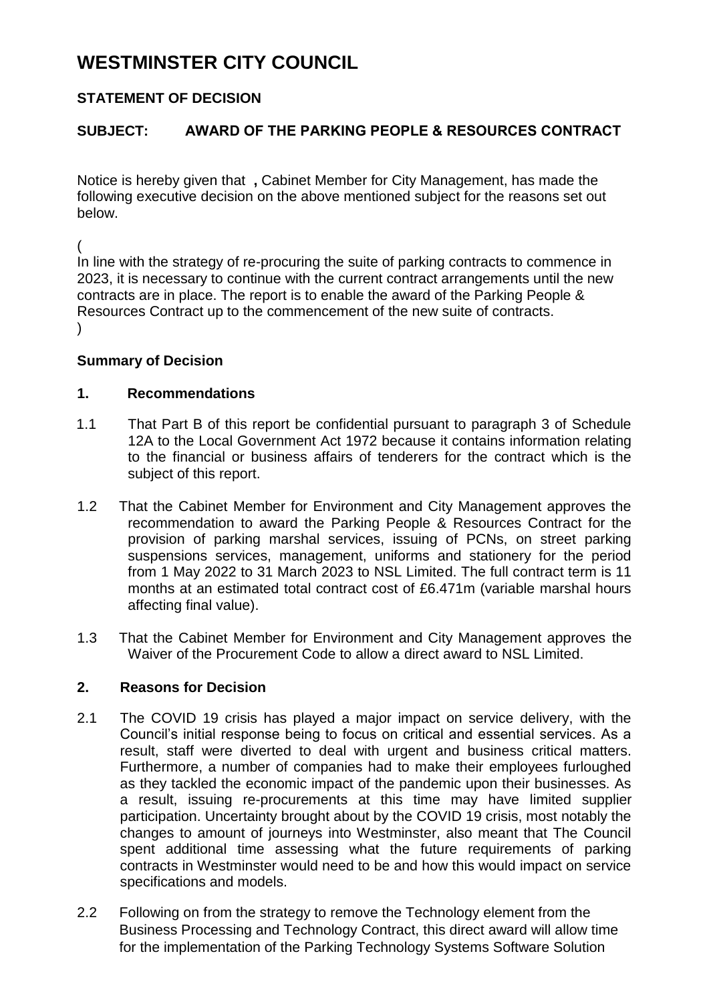# **WESTMINSTER CITY COUNCIL**

## **STATEMENT OF DECISION**

## **SUBJECT: AWARD OF THE PARKING PEOPLE & RESOURCES CONTRACT**

Notice is hereby given that **,** Cabinet Member for City Management, has made the following executive decision on the above mentioned subject for the reasons set out below.

(

In line with the strategy of re-procuring the suite of parking contracts to commence in 2023, it is necessary to continue with the current contract arrangements until the new contracts are in place. The report is to enable the award of the Parking People & Resources Contract up to the commencement of the new suite of contracts.  $\lambda$ 

#### **Summary of Decision**

#### **1. Recommendations**

- 1.1 That Part B of this report be confidential pursuant to paragraph 3 of Schedule 12A to the Local Government Act 1972 because it contains information relating to the financial or business affairs of tenderers for the contract which is the subject of this report.
- 1.2 That the Cabinet Member for Environment and City Management approves the recommendation to award the Parking People & Resources Contract for the provision of parking marshal services, issuing of PCNs, on street parking suspensions services, management, uniforms and stationery for the period from 1 May 2022 to 31 March 2023 to NSL Limited. The full contract term is 11 months at an estimated total contract cost of £6.471m (variable marshal hours affecting final value).
- 1.3 That the Cabinet Member for Environment and City Management approves the Waiver of the Procurement Code to allow a direct award to NSL Limited.

### **2. Reasons for Decision**

- 2.1 The COVID 19 crisis has played a major impact on service delivery, with the Council's initial response being to focus on critical and essential services. As a result, staff were diverted to deal with urgent and business critical matters. Furthermore, a number of companies had to make their employees furloughed as they tackled the economic impact of the pandemic upon their businesses. As a result, issuing re-procurements at this time may have limited supplier participation. Uncertainty brought about by the COVID 19 crisis, most notably the changes to amount of journeys into Westminster, also meant that The Council spent additional time assessing what the future requirements of parking contracts in Westminster would need to be and how this would impact on service specifications and models.
- 2.2 Following on from the strategy to remove the Technology element from the Business Processing and Technology Contract, this direct award will allow time for the implementation of the Parking Technology Systems Software Solution